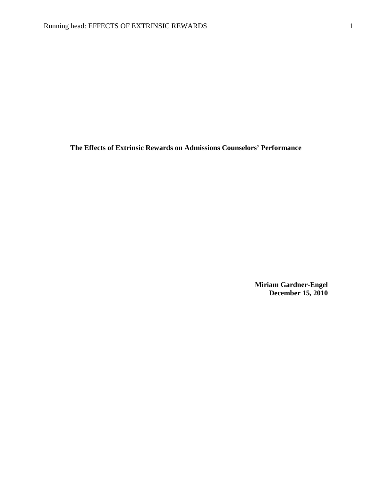**The Effects of Extrinsic Rewards on Admissions Counselors' Performance**

**Miriam Gardner-Engel December 15, 2010**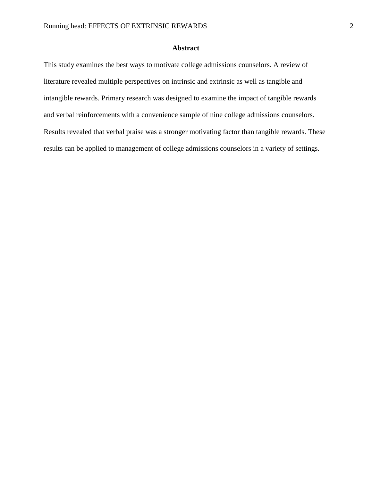## **Abstract**

This study examines the best ways to motivate college admissions counselors. A review of literature revealed multiple perspectives on intrinsic and extrinsic as well as tangible and intangible rewards. Primary research was designed to examine the impact of tangible rewards and verbal reinforcements with a convenience sample of nine college admissions counselors. Results revealed that verbal praise was a stronger motivating factor than tangible rewards. These results can be applied to management of college admissions counselors in a variety of settings.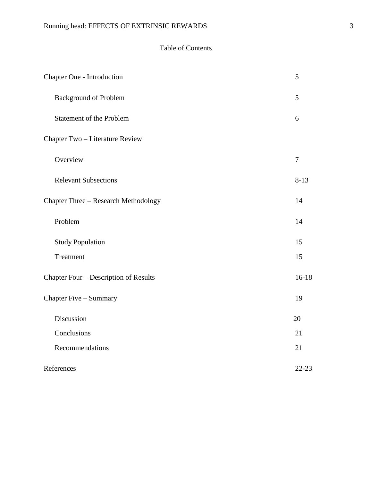## Table of Contents

| Chapter One - Introduction            | 5         |
|---------------------------------------|-----------|
| <b>Background of Problem</b>          | 5         |
| <b>Statement of the Problem</b>       | 6         |
| Chapter Two - Literature Review       |           |
| Overview                              | $\tau$    |
| <b>Relevant Subsections</b>           | $8 - 13$  |
| Chapter Three - Research Methodology  | 14        |
| Problem                               | 14        |
| <b>Study Population</b>               | 15        |
| Treatment                             | 15        |
| Chapter Four - Description of Results | $16 - 18$ |
| Chapter Five - Summary                | 19        |
| Discussion                            | 20        |
| Conclusions                           | 21        |
| Recommendations                       | 21        |
| References                            | $22 - 23$ |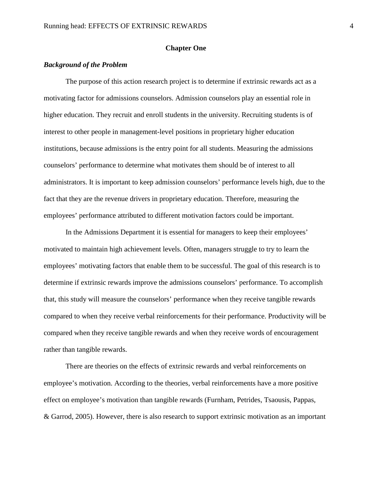#### **Chapter One**

## *Background of the Problem*

The purpose of this action research project is to determine if extrinsic rewards act as a motivating factor for admissions counselors. Admission counselors play an essential role in higher education. They recruit and enroll students in the university. Recruiting students is of interest to other people in management-level positions in proprietary higher education institutions, because admissions is the entry point for all students. Measuring the admissions counselors' performance to determine what motivates them should be of interest to all administrators. It is important to keep admission counselors' performance levels high, due to the fact that they are the revenue drivers in proprietary education. Therefore, measuring the employees' performance attributed to different motivation factors could be important.

In the Admissions Department it is essential for managers to keep their employees' motivated to maintain high achievement levels. Often, managers struggle to try to learn the employees' motivating factors that enable them to be successful. The goal of this research is to determine if extrinsic rewards improve the admissions counselors' performance. To accomplish that, this study will measure the counselors' performance when they receive tangible rewards compared to when they receive verbal reinforcements for their performance. Productivity will be compared when they receive tangible rewards and when they receive words of encouragement rather than tangible rewards.

There are theories on the effects of extrinsic rewards and verbal reinforcements on employee's motivation. According to the theories, verbal reinforcements have a more positive effect on employee's motivation than tangible rewards (Furnham, Petrides, Tsaousis, Pappas, & Garrod, 2005). However, there is also research to support extrinsic motivation as an important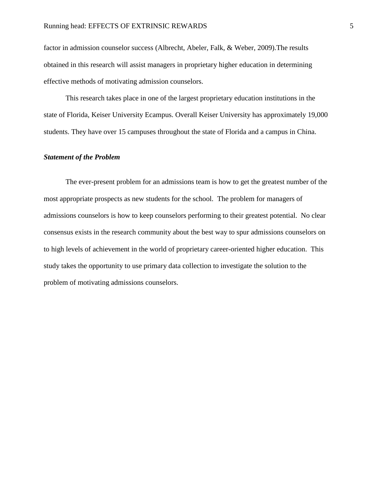factor in admission counselor success (Albrecht, Abeler, Falk, & Weber, 2009).The results obtained in this research will assist managers in proprietary higher education in determining effective methods of motivating admission counselors.

This research takes place in one of the largest proprietary education institutions in the state of Florida, Keiser University Ecampus. Overall Keiser University has approximately 19,000 students. They have over 15 campuses throughout the state of Florida and a campus in China.

## *Statement of the Problem*

The ever-present problem for an admissions team is how to get the greatest number of the most appropriate prospects as new students for the school. The problem for managers of admissions counselors is how to keep counselors performing to their greatest potential. No clear consensus exists in the research community about the best way to spur admissions counselors on to high levels of achievement in the world of proprietary career-oriented higher education. This study takes the opportunity to use primary data collection to investigate the solution to the problem of motivating admissions counselors.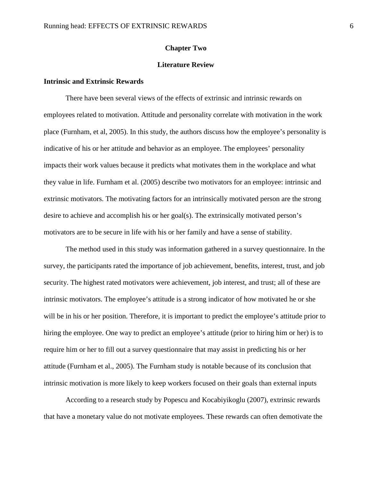#### **Chapter Two**

## **Literature Review**

## **Intrinsic and Extrinsic Rewards**

There have been several views of the effects of extrinsic and intrinsic rewards on employees related to motivation. Attitude and personality correlate with motivation in the work place (Furnham, et al, 2005). In this study, the authors discuss how the employee's personality is indicative of his or her attitude and behavior as an employee. The employees' personality impacts their work values because it predicts what motivates them in the workplace and what they value in life. Furnham et al. (2005) describe two motivators for an employee: intrinsic and extrinsic motivators. The motivating factors for an intrinsically motivated person are the strong desire to achieve and accomplish his or her goal(s). The extrinsically motivated person's motivators are to be secure in life with his or her family and have a sense of stability.

The method used in this study was information gathered in a survey questionnaire. In the survey, the participants rated the importance of job achievement, benefits, interest, trust, and job security. The highest rated motivators were achievement, job interest, and trust; all of these are intrinsic motivators. The employee's attitude is a strong indicator of how motivated he or she will be in his or her position. Therefore, it is important to predict the employee's attitude prior to hiring the employee. One way to predict an employee's attitude (prior to hiring him or her) is to require him or her to fill out a survey questionnaire that may assist in predicting his or her attitude (Furnham et al., 2005). The Furnham study is notable because of its conclusion that intrinsic motivation is more likely to keep workers focused on their goals than external inputs

According to a research study by Popescu and Kocabiyikoglu (2007), extrinsic rewards that have a monetary value do not motivate employees. These rewards can often demotivate the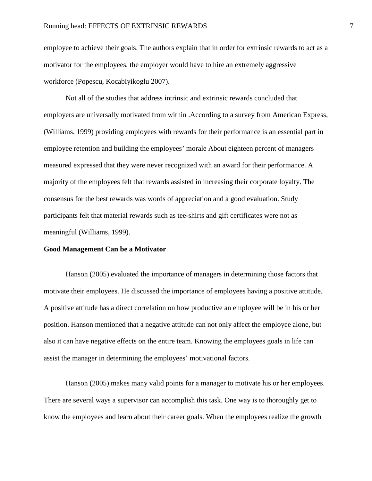employee to achieve their goals. The authors explain that in order for extrinsic rewards to act as a motivator for the employees, the employer would have to hire an extremely aggressive workforce (Popescu, Kocabiyikoglu 2007).

Not all of the studies that address intrinsic and extrinsic rewards concluded that employers are universally motivated from within .According to a survey from American Express, (Williams, 1999) providing employees with rewards for their performance is an essential part in employee retention and building the employees' morale About eighteen percent of managers measured expressed that they were never recognized with an award for their performance. A majority of the employees felt that rewards assisted in increasing their corporate loyalty. The consensus for the best rewards was words of appreciation and a good evaluation. Study participants felt that material rewards such as tee-shirts and gift certificates were not as meaningful (Williams, 1999).

#### **Good Management Can be a Motivator**

Hanson (2005) evaluated the importance of managers in determining those factors that motivate their employees. He discussed the importance of employees having a positive attitude. A positive attitude has a direct correlation on how productive an employee will be in his or her position. Hanson mentioned that a negative attitude can not only affect the employee alone, but also it can have negative effects on the entire team. Knowing the employees goals in life can assist the manager in determining the employees' motivational factors.

Hanson (2005) makes many valid points for a manager to motivate his or her employees. There are several ways a supervisor can accomplish this task. One way is to thoroughly get to know the employees and learn about their career goals. When the employees realize the growth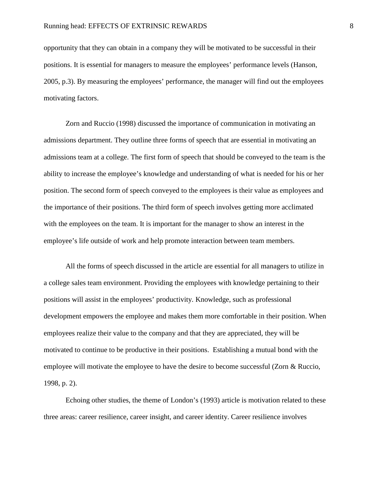opportunity that they can obtain in a company they will be motivated to be successful in their positions. It is essential for managers to measure the employees' performance levels (Hanson, 2005, p.3). By measuring the employees' performance, the manager will find out the employees motivating factors.

Zorn and Ruccio (1998) discussed the importance of communication in motivating an admissions department. They outline three forms of speech that are essential in motivating an admissions team at a college. The first form of speech that should be conveyed to the team is the ability to increase the employee's knowledge and understanding of what is needed for his or her position. The second form of speech conveyed to the employees is their value as employees and the importance of their positions. The third form of speech involves getting more acclimated with the employees on the team. It is important for the manager to show an interest in the employee's life outside of work and help promote interaction between team members.

All the forms of speech discussed in the article are essential for all managers to utilize in a college sales team environment. Providing the employees with knowledge pertaining to their positions will assist in the employees' productivity. Knowledge, such as professional development empowers the employee and makes them more comfortable in their position. When employees realize their value to the company and that they are appreciated, they will be motivated to continue to be productive in their positions. Establishing a mutual bond with the employee will motivate the employee to have the desire to become successful (Zorn & Ruccio, 1998, p. 2).

Echoing other studies, the theme of London's (1993) article is motivation related to these three areas: career resilience, career insight, and career identity. Career resilience involves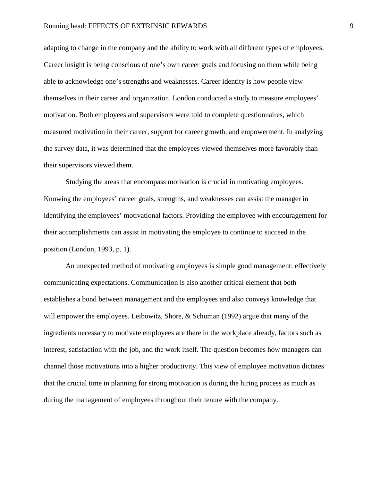#### Running head: EFFECTS OF EXTRINSIC REWARDS 9

adapting to change in the company and the ability to work with all different types of employees. Career insight is being conscious of one's own career goals and focusing on them while being able to acknowledge one's strengths and weaknesses. Career identity is how people view themselves in their career and organization. London conducted a study to measure employees' motivation. Both employees and supervisors were told to complete questionnaires, which measured motivation in their career, support for career growth, and empowerment. In analyzing the survey data, it was determined that the employees viewed themselves more favorably than their supervisors viewed them.

Studying the areas that encompass motivation is crucial in motivating employees. Knowing the employees' career goals, strengths, and weaknesses can assist the manager in identifying the employees' motivational factors. Providing the employee with encouragement for their accomplishments can assist in motivating the employee to continue to succeed in the position (London, 1993, p. 1).

An unexpected method of motivating employees is simple good management: effectively communicating expectations. Communication is also another critical element that both establishes a bond between management and the employees and also conveys knowledge that will empower the employees. Leibowitz, Shore, & Schuman (1992) argue that many of the ingredients necessary to motivate employees are there in the workplace already, factors such as interest, satisfaction with the job, and the work itself. The question becomes how managers can channel those motivations into a higher productivity. This view of employee motivation dictates that the crucial time in planning for strong motivation is during the hiring process as much as during the management of employees throughout their tenure with the company.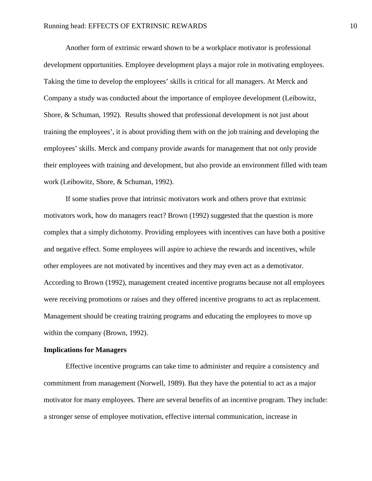Another form of extrinsic reward shown to be a workplace motivator is professional development opportunities. Employee development plays a major role in motivating employees. Taking the time to develop the employees' skills is critical for all managers. At Merck and Company a study was conducted about the importance of employee development (Leibowitz, Shore, & Schuman, 1992). Results showed that professional development is not just about training the employees', it is about providing them with on the job training and developing the employees' skills. Merck and company provide awards for management that not only provide their employees with training and development, but also provide an environment filled with team work (Leibowitz, Shore, & Schuman, 1992).

If some studies prove that intrinsic motivators work and others prove that extrinsic motivators work, how do managers react? Brown (1992) suggested that the question is more complex that a simply dichotomy. Providing employees with incentives can have both a positive and negative effect. Some employees will aspire to achieve the rewards and incentives, while other employees are not motivated by incentives and they may even act as a demotivator. According to Brown (1992), management created incentive programs because not all employees were receiving promotions or raises and they offered incentive programs to act as replacement. Management should be creating training programs and educating the employees to move up within the company (Brown, 1992).

#### **Implications for Managers**

Effective incentive programs can take time to administer and require a consistency and commitment from management (Norwell, 1989). But they have the potential to act as a major motivator for many employees. There are several benefits of an incentive program. They include: a stronger sense of employee motivation, effective internal communication, increase in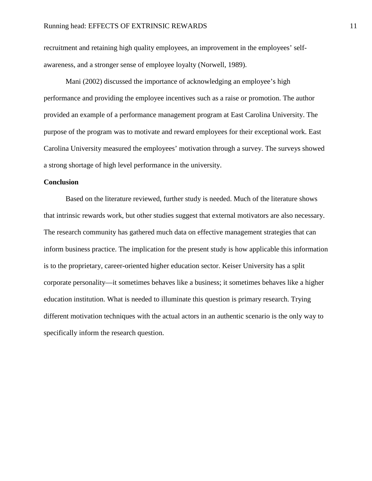recruitment and retaining high quality employees, an improvement in the employees' selfawareness, and a stronger sense of employee loyalty (Norwell, 1989).

Mani (2002) discussed the importance of acknowledging an employee's high performance and providing the employee incentives such as a raise or promotion. The author provided an example of a performance management program at East Carolina University. The purpose of the program was to motivate and reward employees for their exceptional work. East Carolina University measured the employees' motivation through a survey. The surveys showed a strong shortage of high level performance in the university.

## **Conclusion**

Based on the literature reviewed, further study is needed. Much of the literature shows that intrinsic rewards work, but other studies suggest that external motivators are also necessary. The research community has gathered much data on effective management strategies that can inform business practice. The implication for the present study is how applicable this information is to the proprietary, career-oriented higher education sector. Keiser University has a split corporate personality—it sometimes behaves like a business; it sometimes behaves like a higher education institution. What is needed to illuminate this question is primary research. Trying different motivation techniques with the actual actors in an authentic scenario is the only way to specifically inform the research question.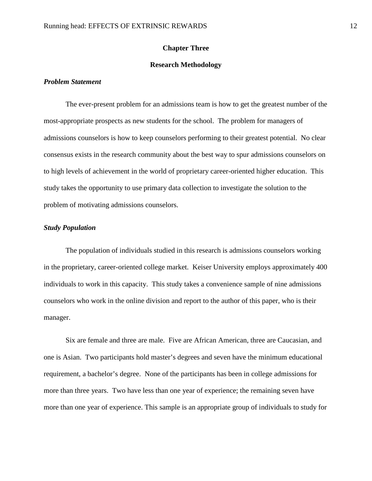#### **Chapter Three**

#### **Research Methodology**

## *Problem Statement*

The ever-present problem for an admissions team is how to get the greatest number of the most-appropriate prospects as new students for the school. The problem for managers of admissions counselors is how to keep counselors performing to their greatest potential. No clear consensus exists in the research community about the best way to spur admissions counselors on to high levels of achievement in the world of proprietary career-oriented higher education. This study takes the opportunity to use primary data collection to investigate the solution to the problem of motivating admissions counselors.

#### *Study Population*

The population of individuals studied in this research is admissions counselors working in the proprietary, career-oriented college market. Keiser University employs approximately 400 individuals to work in this capacity. This study takes a convenience sample of nine admissions counselors who work in the online division and report to the author of this paper, who is their manager.

Six are female and three are male. Five are African American, three are Caucasian, and one is Asian. Two participants hold master's degrees and seven have the minimum educational requirement, a bachelor's degree. None of the participants has been in college admissions for more than three years. Two have less than one year of experience; the remaining seven have more than one year of experience. This sample is an appropriate group of individuals to study for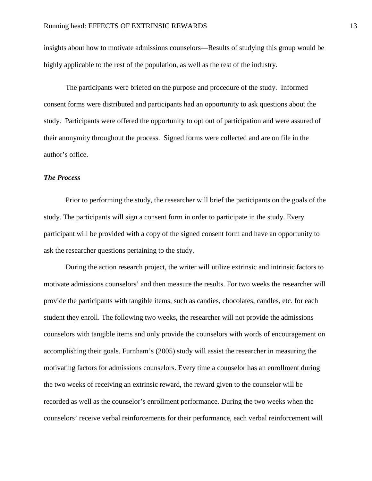insights about how to motivate admissions counselors—Results of studying this group would be highly applicable to the rest of the population, as well as the rest of the industry.

The participants were briefed on the purpose and procedure of the study. Informed consent forms were distributed and participants had an opportunity to ask questions about the study. Participants were offered the opportunity to opt out of participation and were assured of their anonymity throughout the process. Signed forms were collected and are on file in the author's office.

## *The Process*

Prior to performing the study, the researcher will brief the participants on the goals of the study. The participants will sign a consent form in order to participate in the study. Every participant will be provided with a copy of the signed consent form and have an opportunity to ask the researcher questions pertaining to the study.

During the action research project, the writer will utilize extrinsic and intrinsic factors to motivate admissions counselors' and then measure the results. For two weeks the researcher will provide the participants with tangible items, such as candies, chocolates, candles, etc. for each student they enroll. The following two weeks, the researcher will not provide the admissions counselors with tangible items and only provide the counselors with words of encouragement on accomplishing their goals. Furnham's (2005) study will assist the researcher in measuring the motivating factors for admissions counselors. Every time a counselor has an enrollment during the two weeks of receiving an extrinsic reward, the reward given to the counselor will be recorded as well as the counselor's enrollment performance. During the two weeks when the counselors' receive verbal reinforcements for their performance, each verbal reinforcement will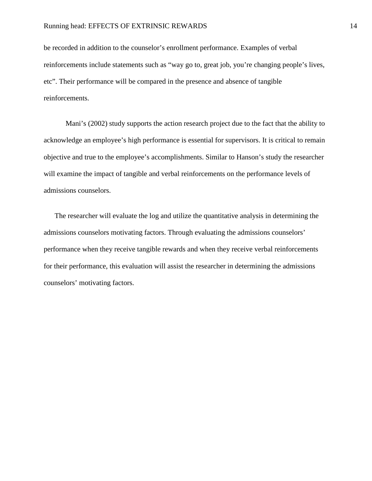be recorded in addition to the counselor's enrollment performance. Examples of verbal reinforcements include statements such as "way go to, great job, you're changing people's lives, etc". Their performance will be compared in the presence and absence of tangible reinforcements.

Mani's (2002) study supports the action research project due to the fact that the ability to acknowledge an employee's high performance is essential for supervisors. It is critical to remain objective and true to the employee's accomplishments. Similar to Hanson's study the researcher will examine the impact of tangible and verbal reinforcements on the performance levels of admissions counselors.

The researcher will evaluate the log and utilize the quantitative analysis in determining the admissions counselors motivating factors. Through evaluating the admissions counselors' performance when they receive tangible rewards and when they receive verbal reinforcements for their performance, this evaluation will assist the researcher in determining the admissions counselors' motivating factors.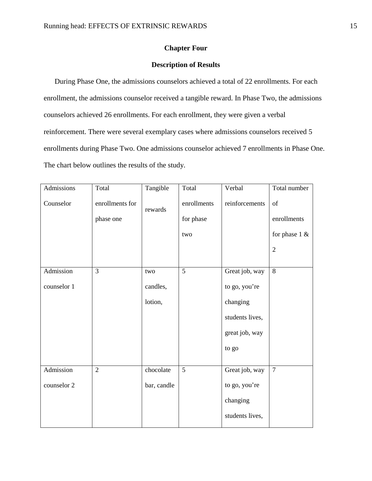## **Chapter Four**

## **Description of Results**

During Phase One, the admissions counselors achieved a total of 22 enrollments. For each enrollment, the admissions counselor received a tangible reward. In Phase Two, the admissions counselors achieved 26 enrollments. For each enrollment, they were given a verbal reinforcement. There were several exemplary cases where admissions counselors received 5 enrollments during Phase Two. One admissions counselor achieved 7 enrollments in Phase One. The chart below outlines the results of the study.

| Admissions  | Total                        | Tangible    | Total                    | Verbal          | Total number      |
|-------------|------------------------------|-------------|--------------------------|-----------------|-------------------|
| Counselor   | enrollments for<br>phase one | rewards     | enrollments<br>for phase | reinforcements  | of<br>enrollments |
|             |                              |             | two                      |                 | for phase $1 \&$  |
|             |                              |             |                          |                 | $\overline{2}$    |
| Admission   | 3                            | two         | 5                        | Great job, way  | 8                 |
| counselor 1 |                              | candles,    |                          | to go, you're   |                   |
|             |                              | lotion,     |                          | changing        |                   |
|             |                              |             |                          | students lives, |                   |
|             |                              |             |                          | great job, way  |                   |
|             |                              |             |                          | to go           |                   |
| Admission   | $\overline{2}$               | chocolate   | $\overline{5}$           | Great job, way  | $\overline{7}$    |
| counselor 2 |                              | bar, candle |                          | to go, you're   |                   |
|             |                              |             |                          | changing        |                   |
|             |                              |             |                          | students lives, |                   |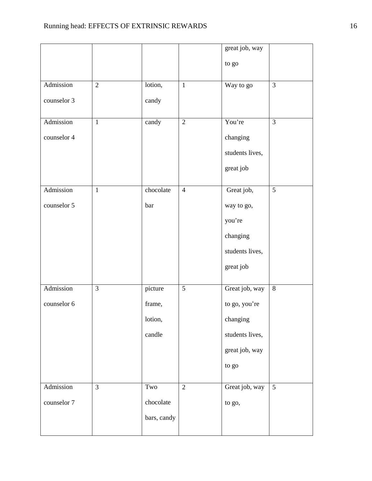|             |                |             |                | great job, way  |                |
|-------------|----------------|-------------|----------------|-----------------|----------------|
|             |                |             |                | to go           |                |
| Admission   | $\overline{2}$ | lotion,     | $\mathbf{1}$   | Way to go       | $\mathfrak{Z}$ |
|             |                |             |                |                 |                |
| counselor 3 |                | candy       |                |                 |                |
| Admission   | $\mathbf{1}$   | candy       | $\overline{2}$ | You're          | 3              |
| counselor 4 |                |             |                | changing        |                |
|             |                |             |                | students lives, |                |
|             |                |             |                | great job       |                |
| Admission   | $\mathbf{1}$   | chocolate   | $\overline{4}$ | Great job,      | 5              |
| counselor 5 |                | bar         |                | way to go,      |                |
|             |                |             |                | you're          |                |
|             |                |             |                | changing        |                |
|             |                |             |                | students lives, |                |
|             |                |             |                | great job       |                |
| Admission   | $\overline{3}$ | picture     | 5              | Great job, way  | $\,8\,$        |
|             |                |             |                |                 |                |
| counselor 6 |                | frame,      |                | to go, you're   |                |
|             |                | lotion,     |                | changing        |                |
|             |                | candle      |                | students lives, |                |
|             |                |             |                | great job, way  |                |
|             |                |             |                | to go           |                |
| Admission   | $\overline{3}$ | Two         | $\overline{2}$ | Great job, way  | 5              |
| counselor 7 |                | chocolate   |                | to go,          |                |
|             |                | bars, candy |                |                 |                |
|             |                |             |                |                 |                |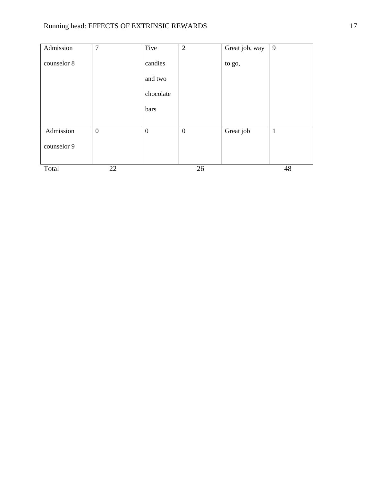# Running head: EFFECTS OF EXTRINSIC REWARDS 17

| Admission   | 7            | Five             | $\overline{2}$   | Great job, way | 9            |
|-------------|--------------|------------------|------------------|----------------|--------------|
| counselor 8 |              | candies          |                  | to go,         |              |
|             |              | and two          |                  |                |              |
|             |              | chocolate        |                  |                |              |
|             |              | bars             |                  |                |              |
|             |              |                  |                  |                |              |
| Admission   | $\mathbf{0}$ | $\boldsymbol{0}$ | $\boldsymbol{0}$ | Great job      | $\mathbf{1}$ |
| counselor 9 |              |                  |                  |                |              |
| Total       | 22           |                  | 26               |                | 48           |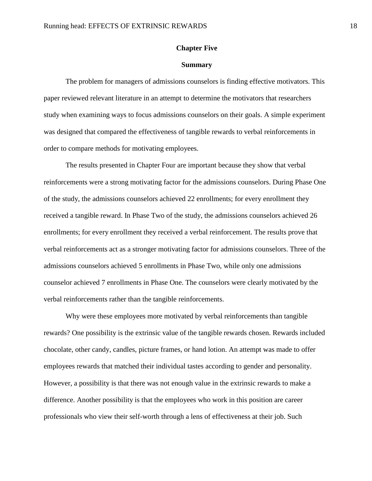#### **Chapter Five**

#### **Summary**

The problem for managers of admissions counselors is finding effective motivators. This paper reviewed relevant literature in an attempt to determine the motivators that researchers study when examining ways to focus admissions counselors on their goals. A simple experiment was designed that compared the effectiveness of tangible rewards to verbal reinforcements in order to compare methods for motivating employees.

The results presented in Chapter Four are important because they show that verbal reinforcements were a strong motivating factor for the admissions counselors. During Phase One of the study, the admissions counselors achieved 22 enrollments; for every enrollment they received a tangible reward. In Phase Two of the study, the admissions counselors achieved 26 enrollments; for every enrollment they received a verbal reinforcement. The results prove that verbal reinforcements act as a stronger motivating factor for admissions counselors. Three of the admissions counselors achieved 5 enrollments in Phase Two, while only one admissions counselor achieved 7 enrollments in Phase One. The counselors were clearly motivated by the verbal reinforcements rather than the tangible reinforcements.

Why were these employees more motivated by verbal reinforcements than tangible rewards? One possibility is the extrinsic value of the tangible rewards chosen. Rewards included chocolate, other candy, candles, picture frames, or hand lotion. An attempt was made to offer employees rewards that matched their individual tastes according to gender and personality. However, a possibility is that there was not enough value in the extrinsic rewards to make a difference. Another possibility is that the employees who work in this position are career professionals who view their self-worth through a lens of effectiveness at their job. Such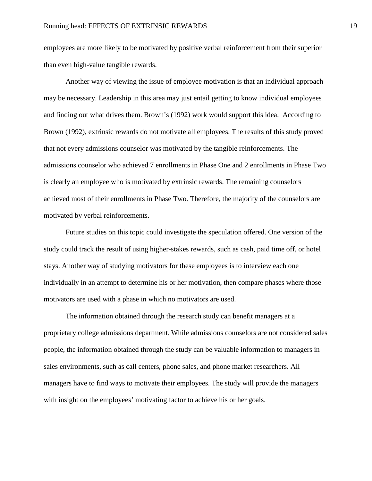employees are more likely to be motivated by positive verbal reinforcement from their superior than even high-value tangible rewards.

Another way of viewing the issue of employee motivation is that an individual approach may be necessary. Leadership in this area may just entail getting to know individual employees and finding out what drives them. Brown's (1992) work would support this idea. According to Brown (1992), extrinsic rewards do not motivate all employees. The results of this study proved that not every admissions counselor was motivated by the tangible reinforcements. The admissions counselor who achieved 7 enrollments in Phase One and 2 enrollments in Phase Two is clearly an employee who is motivated by extrinsic rewards. The remaining counselors achieved most of their enrollments in Phase Two. Therefore, the majority of the counselors are motivated by verbal reinforcements.

Future studies on this topic could investigate the speculation offered. One version of the study could track the result of using higher-stakes rewards, such as cash, paid time off, or hotel stays. Another way of studying motivators for these employees is to interview each one individually in an attempt to determine his or her motivation, then compare phases where those motivators are used with a phase in which no motivators are used.

The information obtained through the research study can benefit managers at a proprietary college admissions department. While admissions counselors are not considered sales people, the information obtained through the study can be valuable information to managers in sales environments, such as call centers, phone sales, and phone market researchers. All managers have to find ways to motivate their employees. The study will provide the managers with insight on the employees' motivating factor to achieve his or her goals.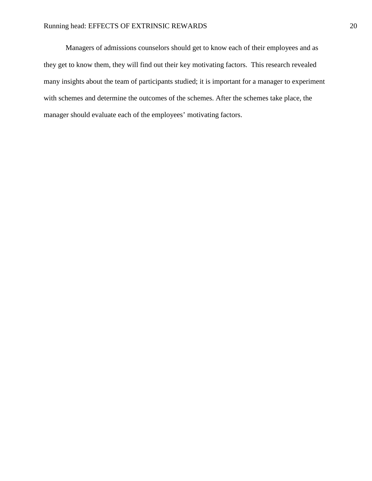Managers of admissions counselors should get to know each of their employees and as they get to know them, they will find out their key motivating factors. This research revealed many insights about the team of participants studied; it is important for a manager to experiment with schemes and determine the outcomes of the schemes. After the schemes take place, the manager should evaluate each of the employees' motivating factors.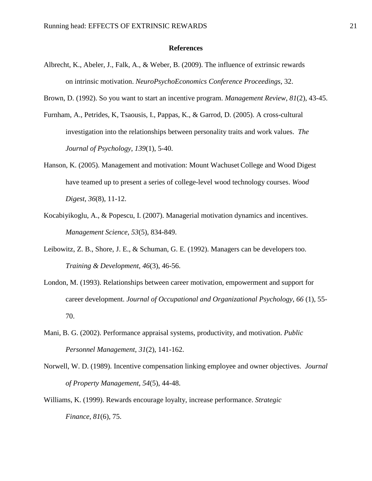#### **References**

- Albrecht, K., Abeler, J., Falk, A., & Weber, B. (2009). The influence of extrinsic rewards on intrinsic motivation. *NeuroPsychoEconomics Conference Proceedings*, 32.
- Brown, D. (1992). So you want to start an incentive program. *Management Review*, *81*(2), 43-45.
- Furnham, A., Petrides, K, Tsaousis, I., Pappas, K., & Garrod, D. (2005). A cross-cultural investigation into the relationships between personality traits and work values. *The Journal of Psychology*, *139*(1), 5-40.
- Hanson, K. (2005). Management and motivation: Mount Wachuset College and Wood Digest have teamed up to present a series of college-level wood technology courses. *Wood Digest*, *36*(8), 11-12.
- Kocabiyikoglu, A., & Popescu, I. (2007). Managerial motivation dynamics and incentives. *Management Science*, *53*(5), 834-849.
- Leibowitz, Z. B., Shore, J. E., & Schuman, G. E. (1992). Managers can be developers too. *Training & Development*, *46*(3), 46-56.
- London, M. (1993). Relationships between career motivation, empowerment and support for career development. *Journal of Occupational and Organizational Psychology*, *66* (1), 55- 70.
- Mani, B. G. (2002). Performance appraisal systems, productivity, and motivation. *Public Personnel Management*, *31*(2), 141-162.
- Norwell, W. D. (1989). Incentive compensation linking employee and owner objectives. *Journal of Property Management*, *54*(5), 44-48.
- Williams, K. (1999). Rewards encourage loyalty, increase performance. *Strategic Finance*, *81*(6), 75.